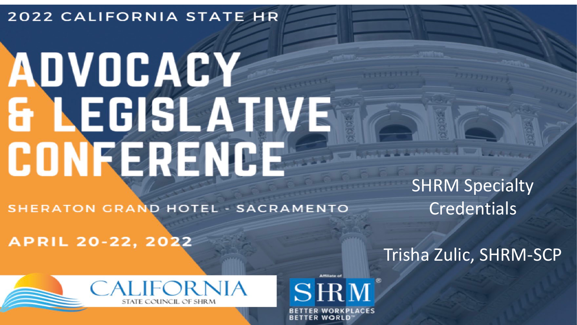### **2022 CALIFORNIA STATE HR**

# ADVOCACY **& LEGISLAZIVE** CONFERENCE

**SHERATON GRAND HOTEL - SACRAMENTO** 

**APRIL 20-22, 2022** 

SHRM Specialty **Credentials** 

Trisha Zulic, SHRM-SCP



SHM **BETTER WORLD**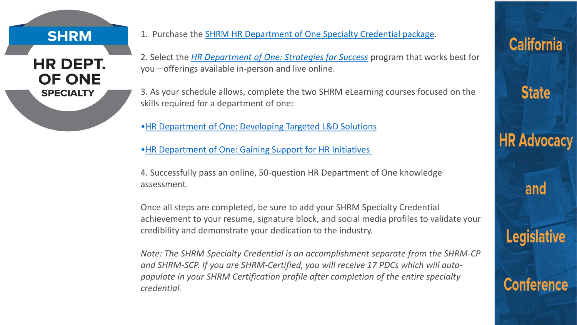#### **SHRM**

#### **HR DEPT. OF ONE SPECIALTY**

- 1. Purchase the [SHRM HR Department of One Specialty Credential package.](https://store.shrm.org/SHRM-HR-Department-of-One-Specialty-Credential)
- 2. Select the *[HR Department of One: Strategies for Success](https://store.shrm.org/HR-Department-of-One-Strategies-for-Success-Seminar?quantity=1)* program that works best for you—offerings available in-person and live online.
- 3. As your schedule allows, complete the two SHRM eLearning courses focused on the skills required for a department of one:
- [•HR Department of One: Developing Targeted L&D Solutions](https://store.shrm.org/HR-Department-of-One-Developing-Targeted-L-D-Solutions)
- [•HR Department of One: Gaining Support for HR Initiatives](https://store.shrm.org/HR-Department-of-One-Gaining-Support-for-HR-Initiatives)
- 4. Successfully pass an online, 50-question HR Department of One knowledge assessment.

Once all steps are completed, be sure to add your SHRM Specialty Credential achievement to your resume, signature block, and social media profiles to validate your credibility and demonstrate your dedication to the industry.

*Note: The SHRM Specialty Credential is an accomplishment separate from the SHRM-CP and SHRM-SCP. If you are SHRM-Certified, you will receive 17 PDCs which will autopopulate in your SHRM Certification profile after completion of the entire specialty credential.*

# **California**

**State** 

**HR Advocacy** 

and

**Legislative** 

**Conference**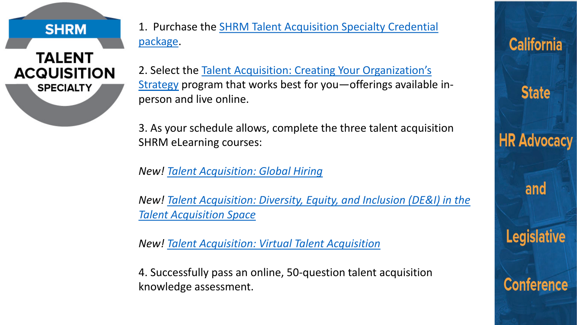**SHRM** 

## **TALENT ACQUISITION SPECIALTY**

1. Purchase the [SHRM Talent Acquisition Specialty Credential](https://store.shrm.org/SHRM-Talent-Acquisition-Specialty-Credential_2) package.

2. Select the Talent Acquisition: Creating Your Organization's Strategy [program that works best for you—offerings availabl](https://store.shrm.org/Talent-Acquisition-Creating-your-Organizations-Strategy?quantity=1)e inperson and live online.

**California** 

**State** 

**HR Advocacy** 

and

**Legislative** 

**Conference** 

3. As your schedule allows, complete the three talent acquisition SHRM eLearning courses:

*New! [Talent Acquisition: Global Hiring](https://store.shrm.org/Global-Hiring-Individual)*

*New! [Talent Acquisition: Diversity, Equity, and Inclusion \(DE&I\) in the](https://store.shrm.org/Talent-Acquisition-Diversity-Equity-and-Inclusion-DE-I)  Talent Acquisition Space*

*New! [Talent Acquisition: Virtual Talent Acquisition](https://store.shrm.org/Talent-Acquisition-Virtual-Talent-Acquisition-Individual)*

4. Successfully pass an online, 50-question talent acquisition knowledge assessment.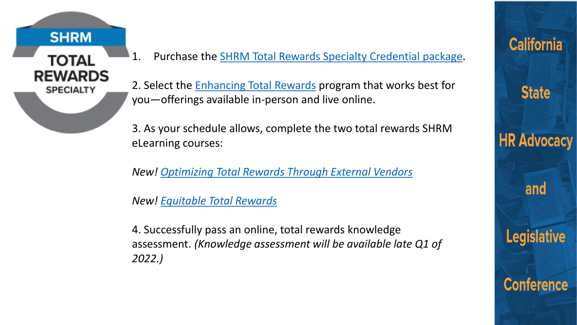

1. Purchase the **SHRM Total Rewards Specialty Credential package**.

2. Select the **[Enhancing Total Rewards](https://store.shrm.org/Enhancing-Total-Rewards?quantity=1)** program that works best for you—offerings available in-person and live online.

3. As your schedule allows, complete the two total rewards SHRM eLearning courses:

*New! [Optimizing Total Rewards Through External Vendors](https://store.shrm.org/Optimizing-Total-Rewards-Through-External-Partners)*

*New! [Equitable Total Rewards](https://store.shrm.org/Equitable-Total-Rewards)*

4. Successfully pass an online, total rewards knowledge assessment. *(Knowledge assessment will be available late Q1 of 2022.)*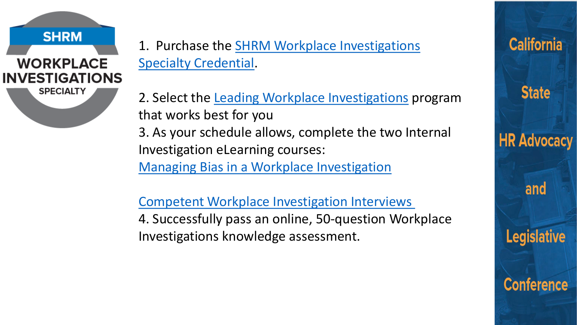1. Purchase the [SHRM Workplace Investigations](https://store.shrm.org/SHRM-Workplace-Investigations-Specialty-Credential?_ga=2.246222852.1896131093.1606752572-457903262.1573578262) Specialty Credential.

**SHRM** 

**WORKPLACE** 

**INVESTIGATIONS** 

**SPECIALTY** 

2. Select the [Leading Workplace Investigations](https://store.shrm.org/Leading-Internal-Investigations) program that works best for you

3. As your schedule allows, complete the two Internal Investigation eLearning courses:

[Managing Bias in a Workplace Investigation](https://store.shrm.org/Managing-Bias-in-a-Workplace-Investigation)

[Competent Workplace Investigation Interviews](https://store.shrm.org/Competent-Workplace-Investigation-Interviews) 4. Successfully pass an online, 50-question Workplace Investigations knowledge assessment.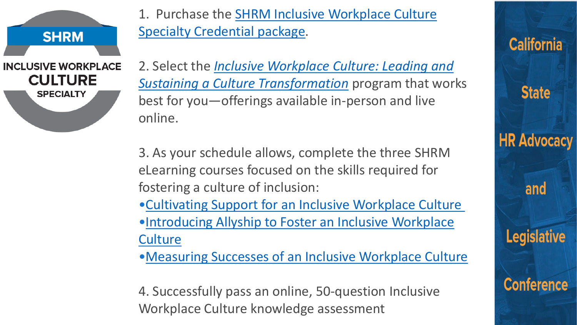**INCLUSIVE WORKPLACE CULTURE SPECIALTY** 

**SHRM** 

1. Purchase the [SHRM Inclusive Workplace Culture](https://store.shrm.org/SHRMInclusive-Workplace-Culture-Specialty-Credential) Specialty Credential package.

2. Select the *[Inclusive Workplace Culture: Leading and](https://store.shrm.org/Inclusive-Workplace-Culture-Leading-and-Sustaining-a-Culture-Transformation?quantity=1)  Sustaining a Culture Transformation* program that works best for you—offerings available in-person and live online.

3. As your schedule allows, complete the three SHRM eLearning courses focused on the skills required for fostering a culture of inclusion:

- [•Cultivating Support for an Inclusive Workplace Culture](https://store.shrm.org/Cultivating-Support-for-an-Inclusive-Workplace-Culture)
- [•Introducing Allyship to Foster an Inclusive Workplace](https://store.shrm.org/Introducing-Allyship-to-Foster-an-Inclusive-Workplace-Culture)  **Culture**
- [•Measuring Successes of an Inclusive Workplace Culture](https://store.shrm.org/Measuring-Successes-of-an-Inclusive-Workplace-Culture)

4. Successfully pass an online, 50-question Inclusive Workplace Culture knowledge assessment

**California State HR Advocacy** and **Legislative Conference**